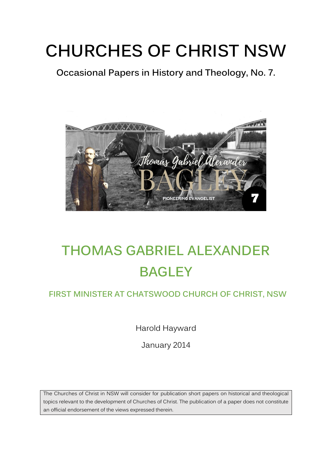## **CHURCHES OF CHRIST NSW**

**Occasional Papers in History and Theology, No. 7.** 



### **THOMAS GABRIEL ALEXANDER BAGLEY**

#### **FIRST MINISTER AT CHATSWOOD CHURCH OF CHRIST, NSW**

Harold Hayward

January 2014

The Churches of Christ in NSW will consider for publication short papers on historical and theological topics relevant to the development of Churches of Christ. The publication of a paper does not constitute an official endorsement of the views expressed therein.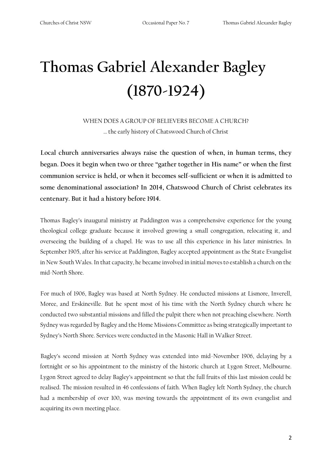# **Thomas Gabriel Alexander Bagley (1870-1924)**

WHEN DOES A GROUP OF BELIEVERS BECOME A CHURCH? … the early history of Chatswood Church of Christ

**Local church anniversaries always raise the question of when, in human terms, they began. Does it begin when two or three "gather together in His name" or when the first communion service is held, or when it becomes self-sufficient or when it is admitted to some denominational association? In 2014, Chatswood Church of Christ celebrates its centenary. But it had a history before 1914.** 

Thomas Bagley's inaugural ministry at Paddington was a comprehensive experience for the young theological college graduate because it involved growing a small congregation, relocating it, and overseeing the building of a chapel. He was to use all this experience in his later ministries. In September 1905, after his service at Paddington, Bagley accepted appointment as the State Evangelist in New South Wales. In that capacity, he became involved in initial moves to establish a church on the mid-North Shore.

For much of 1906, Bagley was based at North Sydney. He conducted missions at Lismore, Inverell, Moree, and Erskineville. But he spent most of his time with the North Sydney church where he conducted two substantial missions and filled the pulpit there when not preaching elsewhere. North Sydney was regarded by Bagley and the Home Missions Committee as being strategically important to Sydney's North Shore. Services were conducted in the Masonic Hall in Walker Street.

Bagley's second mission at North Sydney was extended into mid-November 1906, delaying by a fortnight or so his appointment to the ministry of the historic church at Lygon Street, Melbourne. Lygon Street agreed to delay Bagley's appointment so that the full fruits of this last mission could be realised. The mission resulted in 46 confessions of faith. When Bagley left North Sydney, the church had a membership of over 100, was moving towards the appointment of its own evangelist and acquiring its own meeting place.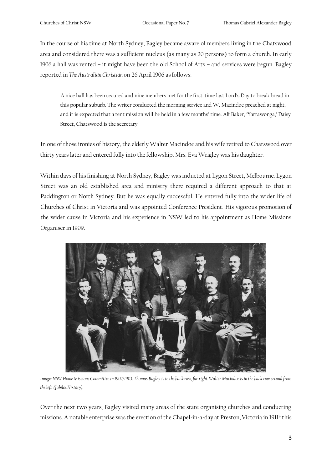In the course of his time at North Sydney, Bagley became aware of members living in the Chatswood area and considered there was a sufficient nucleus (as many as 20 persons) to form a church. In early 1906 a hall was rented – it might have been the old School of Arts – and services were begun. Bagley reported in *The Australian Christian* on 26 April 1906 as follows:

A nice hall has been secured and nine members met for the first-time last Lord's Day to break bread in this popular suburb. The writer conducted the morning service and W. Macindoe preached at night, and it is expected that a tent mission will be held in a few months' time. Alf Baker, 'Yarrawonga,' Daisy Street, Chatswood is the secretary.

In one of those ironies of history, the elderly Walter Macindoe and his wife retired to Chatswood over thirty years later and entered fully into the fellowship. Mrs. Eva Wrigley was his daughter.

Within days of his finishing at North Sydney, Bagley was inducted at Lygon Street, Melbourne. Lygon Street was an old established area and ministry there required a different approach to that at Paddington or North Sydney. But he was equally successful. He entered fully into the wider life of Churches of Christ in Victoria and was appointed Conference President. His vigorous promotion of the wider cause in Victoria and his experience in NSW led to his appointment as Home Missions Organiser in 1909.



*Image: NSW Home Missions Committee in 1902/1903. Thomas Bagley is in the back row, far right. Walter Macindoe is in the back row second from the left. (Jubilee History).*

Over the next two years, Bagley visited many areas of the state organising churches and conducting missions. A notable enterprise was the erection of the Chapel-in-a-day at Preston, Victoria in 1911<sup>i</sup>: this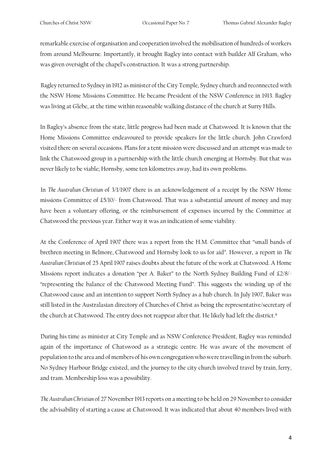remarkable exercise of organisation and cooperation involved the mobilisation of hundreds of workers from around Melbourne. Importantly, it brought Bagley into contact with builder Alf Graham, who was given oversight of the chapel's construction. It was a strong partnership.

Bagley returned to Sydney in 1912 as minister of the City Temple, Sydney church and reconnected with the NSW Home Missions Committee. He became President of the NSW Conference in 1913. Bagley was living at Glebe, at the time within reasonable walking distance of the church at Surry Hills.

In Bagley's absence from the state, little progress had been made at Chatswood. It is known that the Home Missions Committee endeavoured to provide speakers for the little church. John Crawford visited there on several occasions. Plans for a tent mission were discussed and an attempt was made to link the Chatswood group in a partnership with the little church emerging at Hornsby. But that was never likely to be viable; Hornsby, some ten kilometres away, had its own problems.

In *The Australian Christian* of 3/1/1907 there is an acknowledgement of a receipt by the NSW Home missions Committee of £5/10/- from Chatswood. That was a substantial amount of money and may have been a voluntary offering, or the reimbursement of expenses incurred by the Committee at Chatswood the previous year. Either way it was an indication of some viability.

At the Conference of April 1907 there was a report from the H.M. Committee that "small bands of brethren meeting in Belmore, Chatswood and Hornsby look to us for aid". However, a report in *The Australian Christian* of 25 April 1907 raises doubts about the future of the work at Chatswood. A Home Missions report indicates a donation "per A. Baker" to the North Sydney Building Fund of £2/8/- "representing the balance of the Chatswood Meeting Fund". This suggests the winding up of the Chatswood cause and an intention to support North Sydney as a hub church. In July 1907, Baker was still listed in the Australasian directory of Churches of Christ as being the representative/secretary of the church at Chatswood. The entry does not reappear after that. He likely had left the district.<sup>ii</sup>

During his time as minister at City Temple and as NSW Conference President, Bagley was reminded again of the importance of Chatswood as a strategic centre. He was aware of the movement of population to the area and of members of his own congregation who were travelling in from the suburb. No Sydney Harbour Bridge existed, and the journey to the city church involved travel by train, ferry, and tram. Membership loss was a possibility.

*The Australian Christian* of 27 November 1913 reports on a meeting to be held on 29 November to consider the advisability of starting a cause at Chatswood. It was indicated that about 40 members lived with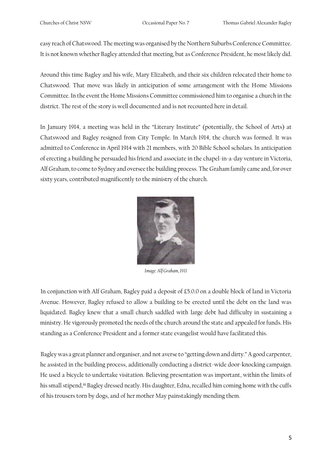easy reach of Chatswood. The meeting was organised by the Northern Suburbs Conference Committee. It is not known whether Bagley attended that meeting, but as Conference President, he most likely did.

Around this time Bagley and his wife, Mary Elizabeth, and their six children relocated their home to Chatswood. That move was likely in anticipation of some arrangement with the Home Missions Committee. In the event the Home Missions Committee commissioned him to organise a church in the district. The rest of the story is well documented and is not recounted here in detail.

In January 1914, a meeting was held in the "Literary Institute" (potentially, the School of Arts) at Chatswood and Bagley resigned from City Temple. In March 1914, the church was formed. It was admitted to Conference in April 1914 with 21 members, with 20 Bible School scholars. In anticipation of erecting a building he persuaded his friend and associate in the chapel-in-a-day venture in Victoria, Alf Graham, to come to Sydney and oversee the building process. The Graham family came and, for over sixty years, contributed magnificently to the ministry of the church.



*Image: Alf Graham, 1911* 

In conjunction with Alf Graham, Bagley paid a deposit of £5.0.0 on a double block of land in Victoria Avenue. However, Bagley refused to allow a building to be erected until the debt on the land was liquidated. Bagley knew that a small church saddled with large debt had difficulty in sustaining a ministry. He vigorously promoted the needs of the church around the state and appealed for funds. His standing as a Conference President and a former state evangelist would have facilitated this.

Bagley was a great planner and organiser, and not averse to "getting down and dirty." A good carpenter, he assisted in the building process, additionally conducting a district-wide door-knocking campaign. He used a bicycle to undertake visitation. Believing presentation was important, within the limits of his small stipend,<sup>iii</sup> Bagley dressed neatly. His daughter, Edna, recalled him coming home with the cuffs of his trousers torn by dogs, and of her mother May painstakingly mending them.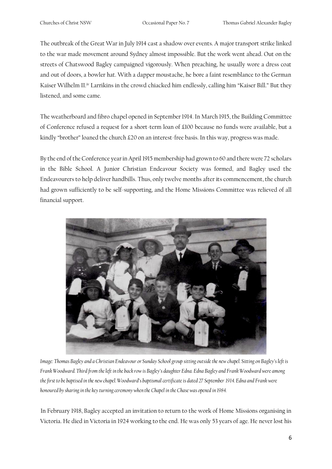The outbreak of the Great War in July 1914 cast a shadow over events. A major transport strike linked to the war made movement around Sydney almost impossible. But the work went ahead. Out on the streets of Chatswood Bagley campaigned vigorously. When preaching, he usually wore a dress coat and out of doors, a bowler hat. With a dapper moustache, he bore a faint resemblance to the German Kaiser Wilhelm II.<sup>iv</sup> Larrikins in the crowd chiacked him endlessly, calling him "Kaiser Bill." But they listened, and some came.

The weatherboard and fibro chapel opened in September 1914. In March 1915, the Building Committee of Conference refused a request for a short-term loan of £100 because no funds were available, but a kindly "brother" loaned the church £20 on an interest-free basis. In this way, progress was made.

By the end of the Conference year in April 1915 membership had grown to 60 and there were 72 scholars in the Bible School. A Junior Christian Endeavour Society was formed, and Bagley used the Endeavourers to help deliver handbills. Thus, only twelve months after its commencement, the church had grown sufficiently to be self-supporting, and the Home Missions Committee was relieved of all financial support.



*Image: Thomas Bagley and a Christian Endeavour or Sunday School group sitting outside the new chapel. Sitting on Bagley's left is Frank Woodward. Third from the left in the back row is Bagley's daughter Edna. Edna Bagley and Frank Woodward were among the first to be baptised in the new chapel. Woodward's baptismal certificate is dated 27 September 1914. Edna and Frank were honoured by sharing in the key turning ceremony when the Chapel in the Chase was opened in 1984.*

In February 1918, Bagley accepted an invitation to return to the work of Home Missions organising in Victoria. He died in Victoria in 1924 working to the end. He was only 53 years of age. He never lost his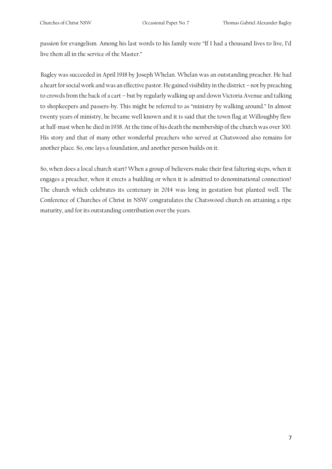passion for evangelism. Among his last words to his family were "If I had a thousand lives to live, I'd live them all in the service of the Master."

Bagley was succeeded in April 1918 by Joseph Whelan. Whelan was an outstanding preacher. He had a heart for social work and was an effective pastor. He gained visibility in the district – not by preaching to crowds from the back of a cart – but by regularly walking up and down Victoria Avenue and talking to shopkeepers and passers-by. This might be referred to as "ministry by walking around." In almost twenty years of ministry, he became well known and it is said that the town flag at Willoughby flew at half-mast when he died in 1938. At the time of his death the membership of the church was over 300. His story and that of many other wonderful preachers who served at Chatswood also remains for another place. So, one lays a foundation, and another person builds on it.

So, when does a local church start? When a group of believers make their first faltering steps, when it engages a preacher, when it erects a building or when it is admitted to denominational connection? The church which celebrates its centenary in 2014 was long in gestation but planted well. The Conference of Churches of Christ in NSW congratulates the Chatswood church on attaining a ripe maturity, and for its outstanding contribution over the years.